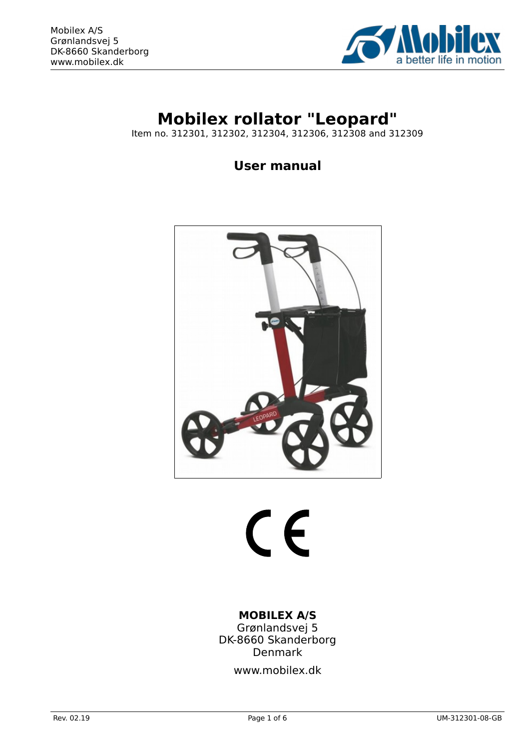

# **Mobilex rollator "Leopard"**

Item no. 312301, 312302, 312304, 312306, 312308 and 312309

**User manual**



# $\epsilon$

# **MOBILEX A/S**

Grønlandsvej 5 DK-8660 Skanderborg Denmark

www.mobilex.dk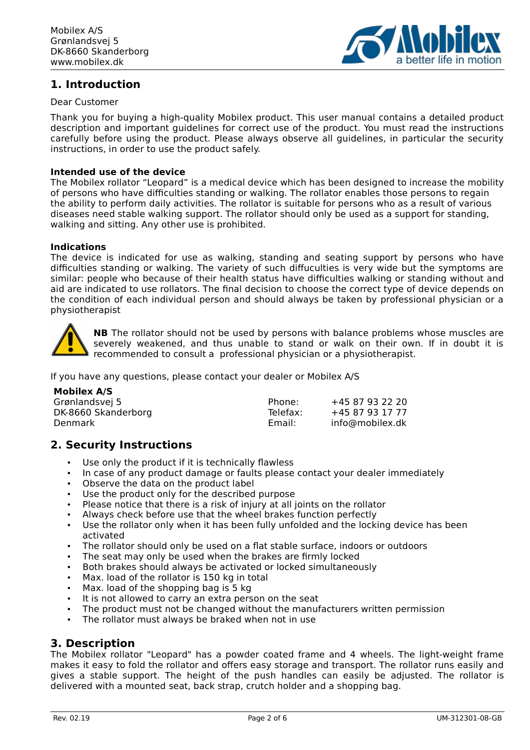

# **1. Introduction**

#### Dear Customer

Thank you for buying a high-quality Mobilex product. This user manual contains a detailed product description and important guidelines for correct use of the product. You must read the instructions carefully before using the product. Please always observe all guidelines, in particular the security instructions, in order to use the product safely.

#### **Intended use of the device**

The Mobilex rollator "Leopard" is a medical device which has been designed to increase the mobility of persons who have difficulties standing or walking. The rollator enables those persons to regain the ability to perform daily activities. The rollator is suitable for persons who as a result of various diseases need stable walking support. The rollator should only be used as a support for standing, walking and sitting. Any other use is prohibited.

#### **Indications**

The device is indicated for use as walking, standing and seating support by persons who have difficulties standing or walking. The variety of such diffuculties is very wide but the symptoms are similar: people who because of their health status have difficulties walking or standing without and aid are indicated to use rollators. The final decision to choose the correct type of device depends on the condition of each individual person and should always be taken by professional physician or a physiotherapist



**NB** The rollator should not be used by persons with balance problems whose muscles are severely weakened, and thus unable to stand or walk on their own. If in doubt it is recommended to consult a professional physician or a physiotherapist.

If you have any questions, please contact your dealer or Mobilex A/S

| Mobilex A/S         |                    |                 |
|---------------------|--------------------|-----------------|
| Grønlandsvej 5      | Phone:             | +45 87 93 22 20 |
| DK-8660 Skanderborg | Telefax:<br>Email: | +45 87 93 17 77 |
| Denmark             |                    | info@mobilex.dk |

# **2. Security Instructions**

- Use only the product if it is technically flawless
- In case of any product damage or faults please contact your dealer immediately
- Observe the data on the product label
- Use the product only for the described purpose
- Please notice that there is a risk of injury at all joints on the rollator
- Always check before use that the wheel brakes function perfectly
- Use the rollator only when it has been fully unfolded and the locking device has been activated
- The rollator should only be used on a flat stable surface, indoors or outdoors
- The seat may only be used when the brakes are firmly locked
- Both brakes should always be activated or locked simultaneously
- Max. load of the rollator is 150 kg in total
- Max. load of the shopping bag is 5 kg
- It is not allowed to carry an extra person on the seat
- The product must not be changed without the manufacturers written permission
- The rollator must always be braked when not in use

# **3. Description**

The Mobilex rollator "Leopard" has a powder coated frame and 4 wheels. The light-weight frame makes it easy to fold the rollator and offers easy storage and transport. The rollator runs easily and gives a stable support. The height of the push handles can easily be adjusted. The rollator is delivered with a mounted seat, back strap, crutch holder and a shopping bag.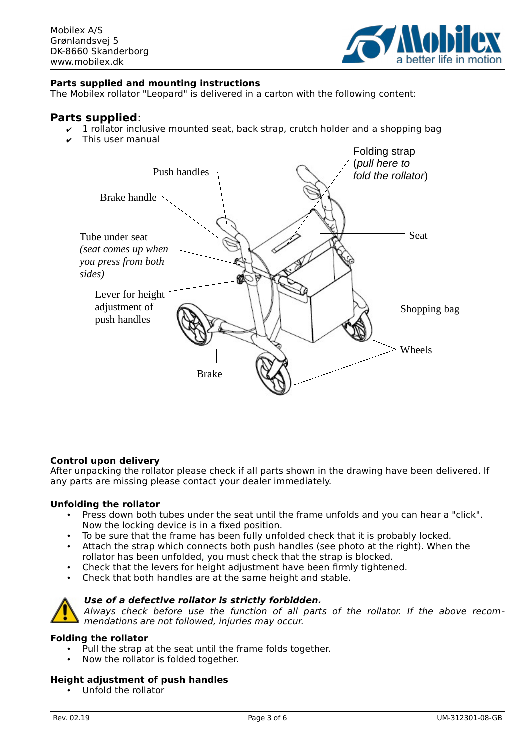

#### **Parts supplied and mounting instructions**

The Mobilex rollator "Leopard" is delivered in a carton with the following content:

#### **Parts supplied**:

- $\sqrt{1}$  rollator inclusive mounted seat, back strap, crutch holder and a shopping bag
- ✔ This user manual



#### **Control upon delivery**

After unpacking the rollator please check if all parts shown in the drawing have been delivered. If any parts are missing please contact your dealer immediately.

#### **Unfolding the rollator**

- Press down both tubes under the seat until the frame unfolds and you can hear a "click". Now the locking device is in a fixed position.
- To be sure that the frame has been fully unfolded check that it is probably locked.
- Attach the strap which connects both push handles (see photo at the right). When the rollator has been unfolded, you must check that the strap is blocked.
- Check that the levers for height adjustment have been firmly tightened.
- Check that both handles are at the same height and stable.

#### **Use of a defective rollator is strictly forbidden.**



#### **Folding the rollator**

- Pull the strap at the seat until the frame folds together.
- Now the rollator is folded together.

#### **Height adjustment of push handles**

• Unfold the rollator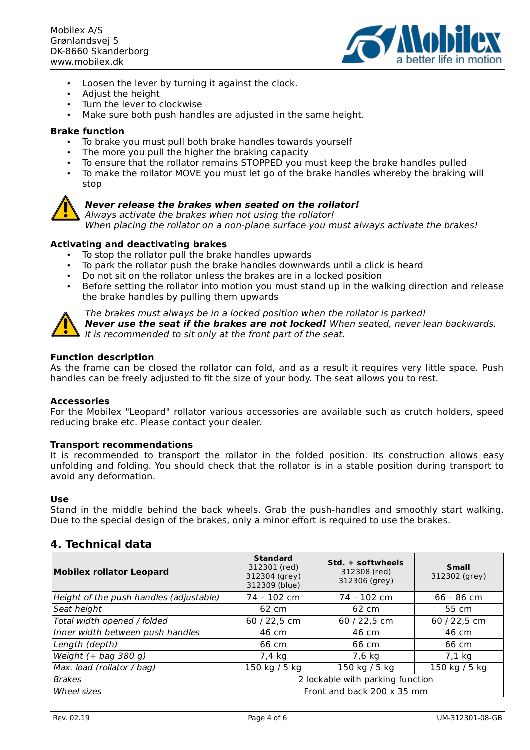

- Loosen the lever by turning it against the clock.
- Adjust the height
- Turn the lever to clockwise
- Make sure both push handles are adjusted in the same height.

#### **Brake function**

- To brake you must pull both brake handles towards yourself
- The more you pull the higher the braking capacity
- To ensure that the rollator remains STOPPED you must keep the brake handles pulled
- To make the rollator MOVE you must let go of the brake handles whereby the braking will stop



#### **Never release the brakes when seated on the rollator!**

Always activate the brakes when not using the rollator! When placing the rollator on a non-plane surface you must always activate the brakes!

#### **Activating and deactivating brakes**

- To stop the rollator pull the brake handles upwards
- To park the rollator push the brake handles downwards until a click is heard
- Do not sit on the rollator unless the brakes are in a locked position
- Before setting the rollator into motion you must stand up in the walking direction and release the brake handles by pulling them upwards



The brakes must always be in a locked position when the rollator is parked!

**Never use the seat if the brakes are not locked!** When seated, never lean backwards. It is recommended to sit only at the front part of the seat.

#### **Function description**

As the frame can be closed the rollator can fold, and as a result it requires very little space. Push handles can be freely adjusted to fit the size of your body. The seat allows you to rest.

#### **Accessories**

For the Mobilex "Leopard" rollator various accessories are available such as crutch holders, speed reducing brake etc. Please contact your dealer.

#### **Transport recommendations**

It is recommended to transport the rollator in the folded position. Its construction allows easy unfolding and folding. You should check that the rollator is in a stable position during transport to avoid any deformation.

#### **Use**

Stand in the middle behind the back wheels. Grab the push-handles and smoothly start walking. Due to the special design of the brakes, only a minor effort is required to use the brakes.

#### **4. Technical data**

| <b>Mobilex rollator Leopard</b>         | <b>Standard</b><br>312301 (red)<br>312304 (grey)<br>312309 (blue) | Std. + softwheels<br>312308 (red)<br>312306 (grey) | <b>Small</b><br>312302 (grey) |
|-----------------------------------------|-------------------------------------------------------------------|----------------------------------------------------|-------------------------------|
| Height of the push handles (adjustable) | 74 - 102 cm                                                       | 74 - 102 cm                                        | $66 - 86$ cm                  |
| Seat height                             | 62 cm                                                             | 62 cm                                              | 55 cm                         |
| Total width opened / folded             | 60 / 22,5 cm                                                      | 60 / 22,5 cm                                       | 60 / 22,5 cm                  |
| Inner width between push handles        | 46 cm                                                             | 46 cm                                              | 46 cm                         |
| Length (depth)                          | 66 cm                                                             | 66 cm                                              | 66 cm                         |
| Weight $(+$ bag 380 g)                  | 7,4 kg                                                            | $7,6$ kg                                           | $7,1$ kg                      |
| Max. load (rollator / bag)              | 150 kg / 5 kg                                                     | 150 kg / 5 kg                                      | 150 kg / 5 kg                 |
| <b>Brakes</b>                           | 2 lockable with parking function                                  |                                                    |                               |
| Wheel sizes                             | Front and back 200 x 35 mm                                        |                                                    |                               |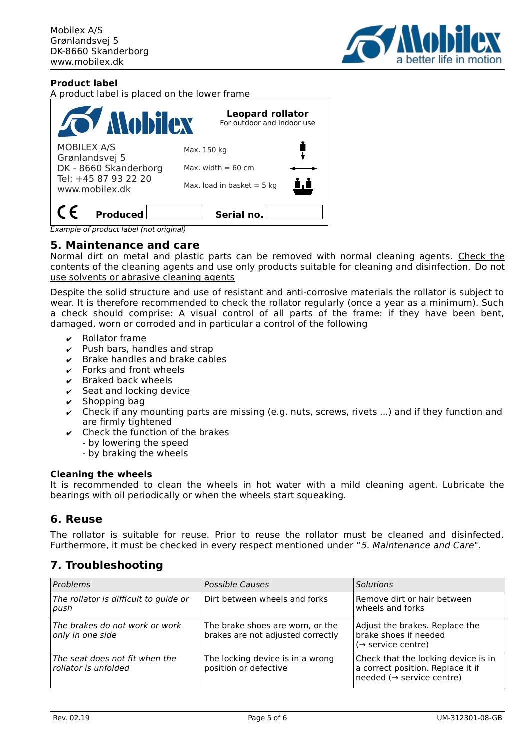

#### **Product label**

A product label is placed on the lower frame



Example of product label (not original)

#### **5. Maintenance and care**

Normal dirt on metal and plastic parts can be removed with normal cleaning agents. Check the contents of the cleaning agents and use only products suitable for cleaning and disinfection. Do not use solvents or abrasive cleaning agents

Despite the solid structure and use of resistant and anti-corrosive materials the rollator is subject to wear. It is therefore recommended to check the rollator regularly (once a year as a minimum). Such a check should comprise: A visual control of all parts of the frame: if they have been bent, damaged, worn or corroded and in particular a control of the following

- **Rollator frame**
- $\triangleright$  Push bars, handles and strap
- $\triangleright$  Brake handles and brake cables
- $\mathcal V$  Forks and front wheels
- $\mathcal V$  Braked back wheels
- $\mathcal V$  Seat and locking device
- Shopping bag
- Check if any mounting parts are missing (e.g. nuts, screws, rivets ...) and if they function and are firmly tightened
- $\vee$  Check the function of the brakes
	- by lowering the speed
	- by braking the wheels

#### **Cleaning the wheels**

It is recommended to clean the wheels in hot water with a mild cleaning agent. Lubricate the bearings with oil periodically or when the wheels start squeaking.

# **6. Reuse**

The rollator is suitable for reuse. Prior to reuse the rollator must be cleaned and disinfected. Furthermore, it must be checked in every respect mentioned under "5. Maintenance and Care".

# **7. Troubleshooting**

| Problems                                               | <b>Possible Causes</b>                                                | <b>Solutions</b>                                                                                      |
|--------------------------------------------------------|-----------------------------------------------------------------------|-------------------------------------------------------------------------------------------------------|
| The rollator is difficult to guide or<br>push          | Dirt between wheels and forks                                         | Remove dirt or hair between<br>wheels and forks                                                       |
| The brakes do not work or work<br>only in one side     | The brake shoes are worn, or the<br>brakes are not adjusted correctly | Adjust the brakes. Replace the<br>brake shoes if needed<br>$(\rightarrow$ service centre)             |
| The seat does not fit when the<br>rollator is unfolded | The locking device is in a wrong<br>position or defective             | Check that the locking device is in<br>a correct position. Replace it if<br>needed (→ service centre) |